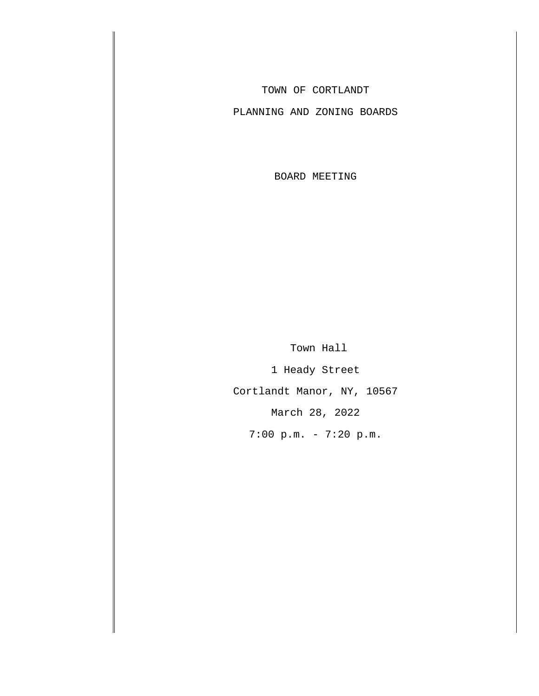TOWN OF CORTLANDT

PLANNING AND ZONING BOARDS

BOARD MEETING

Town Hall

1 Heady Street

Cortlandt Manor, NY, 10567

March 28, 2022

7:00 p.m. - 7:20 p.m.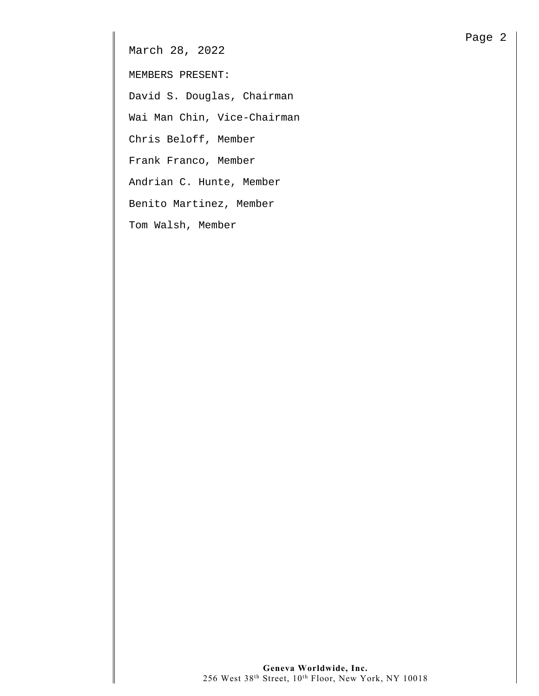March 28, 2022

MEMBERS PRESENT:

David S. Douglas, Chairman

Wai Man Chin, Vice-Chairman

Chris Beloff, Member

Frank Franco, Member

Andrian C. Hunte, Member

Benito Martinez, Member

Tom Walsh, Member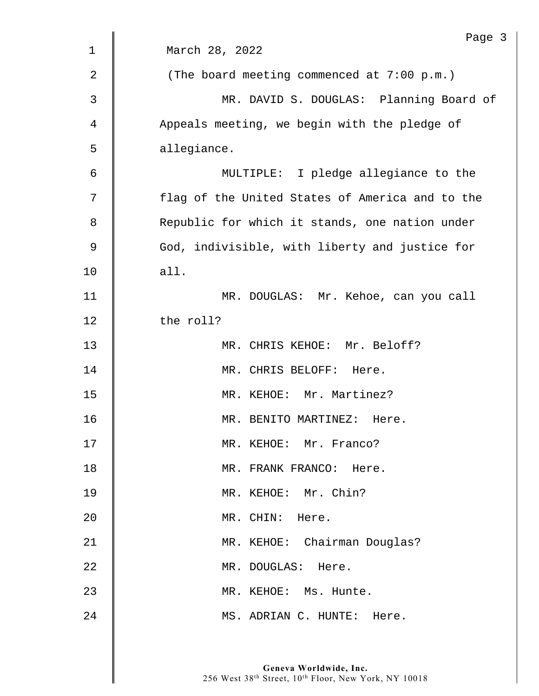|             | Page 3                                          |
|-------------|-------------------------------------------------|
| $\mathbf 1$ | March 28, 2022                                  |
| 2           | (The board meeting commenced at 7:00 p.m.)      |
| 3           | MR. DAVID S. DOUGLAS: Planning Board of         |
| 4           | Appeals meeting, we begin with the pledge of    |
| 5           | allegiance.                                     |
| 6           | MULTIPLE: I pledge allegiance to the            |
| 7           | flag of the United States of America and to the |
| 8           | Republic for which it stands, one nation under  |
| 9           | God, indivisible, with liberty and justice for  |
| 10          | all.                                            |
| 11          | MR. DOUGLAS: Mr. Kehoe, can you call            |
| 12          | the roll?                                       |
| 13          | MR. CHRIS KEHOE: Mr. Beloff?                    |
| 14          | MR. CHRIS BELOFF: Here.                         |
| 15          | MR. KEHOE: Mr. Martinez?                        |
| 16          | MR. BENITO MARTINEZ:<br>Here.                   |
| 17          | MR. KEHOE: Mr. Franco?                          |
| 18          | MR. FRANK FRANCO: Here.                         |
| 19          | MR. KEHOE: Mr. Chin?                            |
| 20          | MR. CHIN: Here.                                 |
| 21          | MR. KEHOE: Chairman Douglas?                    |
| 22          | MR. DOUGLAS: Here.                              |
| 23          | MR. KEHOE: Ms. Hunte.                           |
| 24          | MS. ADRIAN C. HUNTE: Here.                      |
|             |                                                 |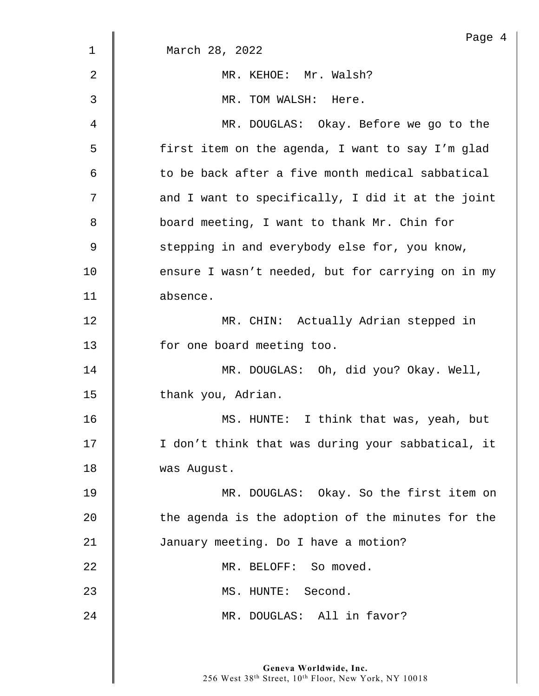|    | Page 4                                            |
|----|---------------------------------------------------|
| 1  | March 28, 2022                                    |
| 2  | MR. KEHOE: Mr. Walsh?                             |
| 3  | MR. TOM WALSH: Here.                              |
| 4  | MR. DOUGLAS: Okay. Before we go to the            |
| 5  | first item on the agenda, I want to say I'm glad  |
| 6  | to be back after a five month medical sabbatical  |
| 7  | and I want to specifically, I did it at the joint |
| 8  | board meeting, I want to thank Mr. Chin for       |
| 9  | stepping in and everybody else for, you know,     |
| 10 | ensure I wasn't needed, but for carrying on in my |
| 11 | absence.                                          |
| 12 | MR. CHIN: Actually Adrian stepped in              |
| 13 | for one board meeting too.                        |
| 14 | MR. DOUGLAS: Oh, did you? Okay. Well,             |
| 15 | thank you, Adrian.                                |
| 16 | MS. HUNTE: I think that was, yeah, but            |
| 17 | I don't think that was during your sabbatical, it |
| 18 | was August.                                       |
| 19 | MR. DOUGLAS: Okay. So the first item on           |
| 20 | the agenda is the adoption of the minutes for the |
| 21 | January meeting. Do I have a motion?              |
| 22 | MR. BELOFF: So moved.                             |
| 23 | MS. HUNTE: Second.                                |
| 24 | MR. DOUGLAS: All in favor?                        |
|    |                                                   |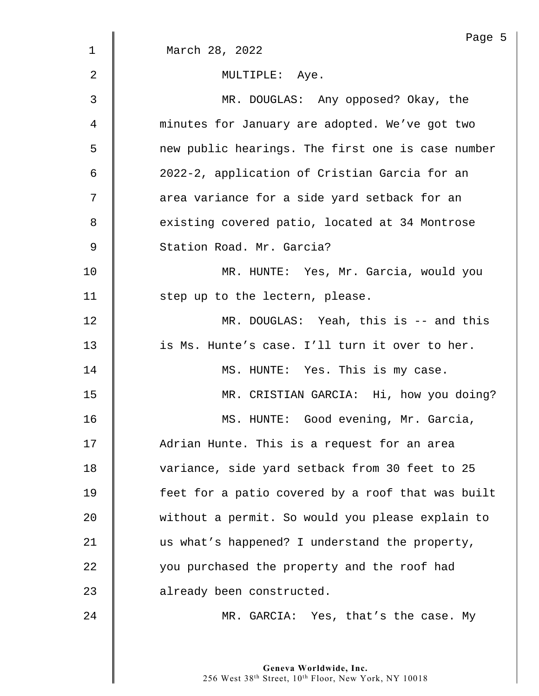|                | Page !                                            |
|----------------|---------------------------------------------------|
| $\mathbf 1$    | March 28, 2022                                    |
| $\overline{2}$ | MULTIPLE: Aye.                                    |
| 3              | MR. DOUGLAS: Any opposed? Okay, the               |
| 4              | minutes for January are adopted. We've got two    |
| 5              | new public hearings. The first one is case number |
| 6              | 2022-2, application of Cristian Garcia for an     |
| 7              | area variance for a side yard setback for an      |
| 8              | existing covered patio, located at 34 Montrose    |
| 9              | Station Road. Mr. Garcia?                         |
| 10             | MR. HUNTE: Yes, Mr. Garcia, would you             |
| 11             | step up to the lectern, please.                   |
| 12             | $MR.$ DOUGLAS: Yeah, this is $-$ and this         |
| 13             | is Ms. Hunte's case. I'll turn it over to her.    |
| 14             | MS. HUNTE: Yes. This is my case.                  |
| 15             | MR. CRISTIAN GARCIA: Hi, how you doing?           |
| 16             | MS. HUNTE: Good evening, Mr. Garcia,              |
| 17             | Adrian Hunte. This is a request for an area       |
| 18             | variance, side yard setback from 30 feet to 25    |
| 19             | feet for a patio covered by a roof that was built |
| 20             | without a permit. So would you please explain to  |
| 21             | us what's happened? I understand the property,    |
| 22             | you purchased the property and the roof had       |
| 23             | already been constructed.                         |
| 24             | MR. GARCIA: Yes, that's the case. My              |

Page 5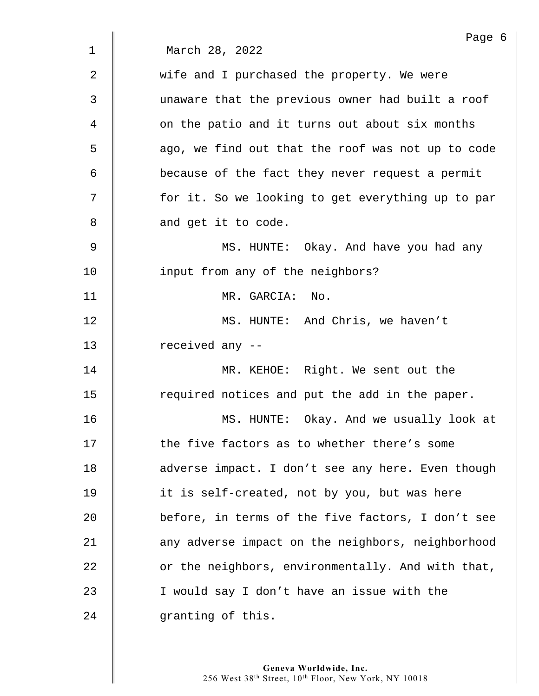| Page 6                                            |
|---------------------------------------------------|
| March 28, 2022                                    |
| wife and I purchased the property. We were        |
| unaware that the previous owner had built a roof  |
| on the patio and it turns out about six months    |
| ago, we find out that the roof was not up to code |
| because of the fact they never request a permit   |
| for it. So we looking to get everything up to par |
| and get it to code.                               |
| MS. HUNTE: Okay. And have you had any             |
| input from any of the neighbors?                  |
| MR. GARCIA: No.                                   |
| MS. HUNTE: And Chris, we haven't                  |
| received any --                                   |
| MR. KEHOE: Right. We sent out the                 |
| required notices and put the add in the paper.    |
| Okay. And we usually look at<br>MS. HUNTE:        |
| the five factors as to whether there's some       |
| adverse impact. I don't see any here. Even though |
| it is self-created, not by you, but was here      |
| before, in terms of the five factors, I don't see |
| any adverse impact on the neighbors, neighborhood |
| or the neighbors, environmentally. And with that, |
| I would say I don't have an issue with the        |
| granting of this.                                 |
|                                                   |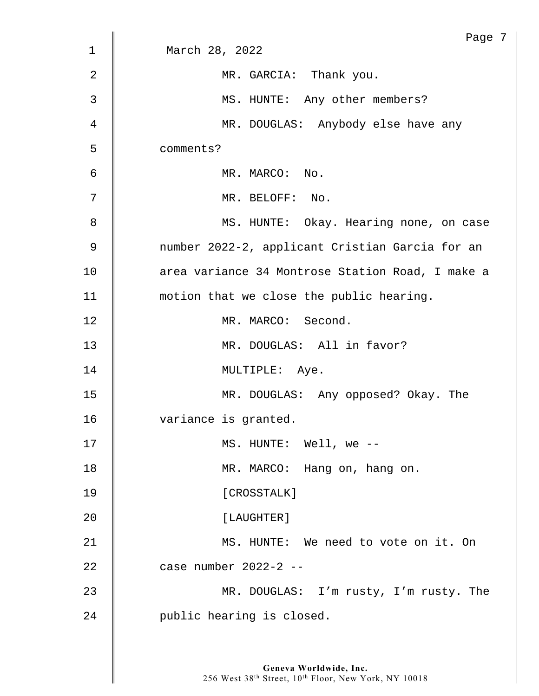|    | Page 7                                           |
|----|--------------------------------------------------|
| 1  | March 28, 2022                                   |
| 2  | MR. GARCIA: Thank you.                           |
| 3  | MS. HUNTE: Any other members?                    |
| 4  | MR. DOUGLAS: Anybody else have any               |
| 5  | comments?                                        |
| 6  | MR. MARCO: No.                                   |
| 7  | MR. BELOFF: No.                                  |
| 8  | MS. HUNTE: Okay. Hearing none, on case           |
| 9  | number 2022-2, applicant Cristian Garcia for an  |
| 10 | area variance 34 Montrose Station Road, I make a |
| 11 | motion that we close the public hearing.         |
| 12 | MR. MARCO: Second.                               |
| 13 | MR. DOUGLAS: All in favor?                       |
| 14 | MULTIPLE: Aye.                                   |
| 15 | MR. DOUGLAS: Any opposed? Okay. The              |
| 16 | variance is granted.                             |
| 17 | MS. HUNTE: Well, we --                           |
| 18 | MR. MARCO: Hang on, hang on.                     |
| 19 | [CROSSTALK]                                      |
| 20 | [LAUGHTER]                                       |
| 21 | MS. HUNTE: We need to vote on it. On             |
| 22 | case number 2022-2 --                            |
| 23 | MR. DOUGLAS: I'm rusty, I'm rusty. The           |
| 24 | public hearing is closed.                        |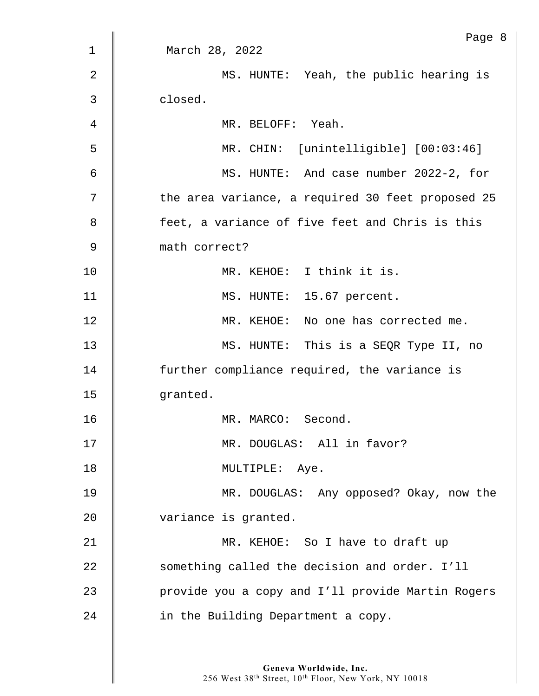|                | Page 8                                            |
|----------------|---------------------------------------------------|
| $\mathbf 1$    | March 28, 2022                                    |
| $\overline{2}$ | MS. HUNTE: Yeah, the public hearing is            |
| 3              | closed.                                           |
| 4              | MR. BELOFF: Yeah.                                 |
| 5              | MR. CHIN: [unintelligible] [00:03:46]             |
| 6              | MS. HUNTE: And case number 2022-2, for            |
| 7              | the area variance, a required 30 feet proposed 25 |
| 8              | feet, a variance of five feet and Chris is this   |
| $\mathsf 9$    | math correct?                                     |
| 10             | MR. KEHOE: I think it is.                         |
| 11             | MS. HUNTE: 15.67 percent.                         |
| 12             | MR. KEHOE: No one has corrected me.               |
| 13             | MS. HUNTE: This is a SEQR Type II, no             |
| 14             | further compliance required, the variance is      |
| 15             | granted.                                          |
| 16             | MR. MARCO: Second.                                |
| 17             | MR. DOUGLAS: All in favor?                        |
| 18             | MULTIPLE: Aye.                                    |
| 19             | MR. DOUGLAS: Any opposed? Okay, now the           |
| 20             | variance is granted.                              |
| 21             | MR. KEHOE: So I have to draft up                  |
| 22             | something called the decision and order. I'll     |
| 23             | provide you a copy and I'll provide Martin Rogers |
| 24             | in the Building Department a copy.                |
|                |                                                   |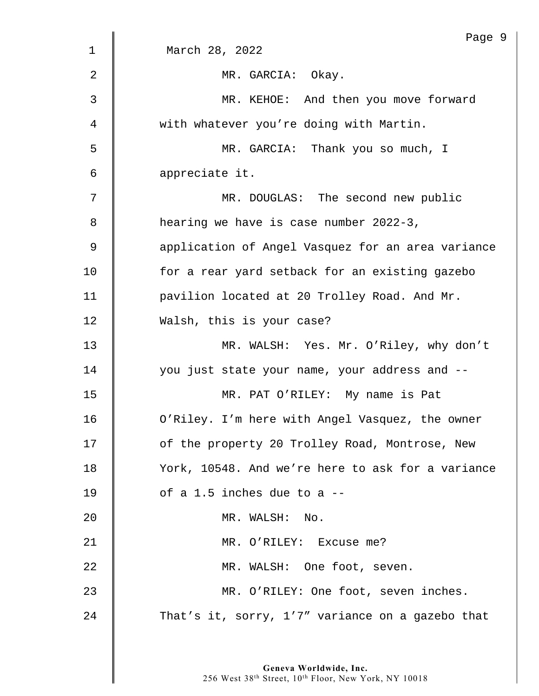|    | Page 9                                            |
|----|---------------------------------------------------|
| 1  | March 28, 2022                                    |
| 2  | MR. GARCIA: Okay.                                 |
| 3  | MR. KEHOE: And then you move forward              |
| 4  | with whatever you're doing with Martin.           |
| 5  | MR. GARCIA: Thank you so much, I                  |
| 6  | appreciate it.                                    |
| 7  | MR. DOUGLAS: The second new public                |
| 8  | hearing we have is case number 2022-3,            |
| 9  | application of Angel Vasquez for an area variance |
| 10 | for a rear yard setback for an existing gazebo    |
| 11 | pavilion located at 20 Trolley Road. And Mr.      |
| 12 | Walsh, this is your case?                         |
| 13 | MR. WALSH: Yes. Mr. O'Riley, why don't            |
| 14 | you just state your name, your address and --     |
| 15 | MR. PAT O'RILEY: My name is Pat                   |
| 16 | O'Riley. I'm here with Angel Vasquez, the owner   |
| 17 | of the property 20 Trolley Road, Montrose, New    |
| 18 | York, 10548. And we're here to ask for a variance |
| 19 | of a 1.5 inches due to a --                       |
| 20 | MR. WALSH: No.                                    |
| 21 | MR. O'RILEY: Excuse me?                           |
| 22 | MR. WALSH: One foot, seven.                       |
| 23 | MR. O'RILEY: One foot, seven inches.              |
| 24 | That's it, sorry, 1'7" variance on a gazebo that  |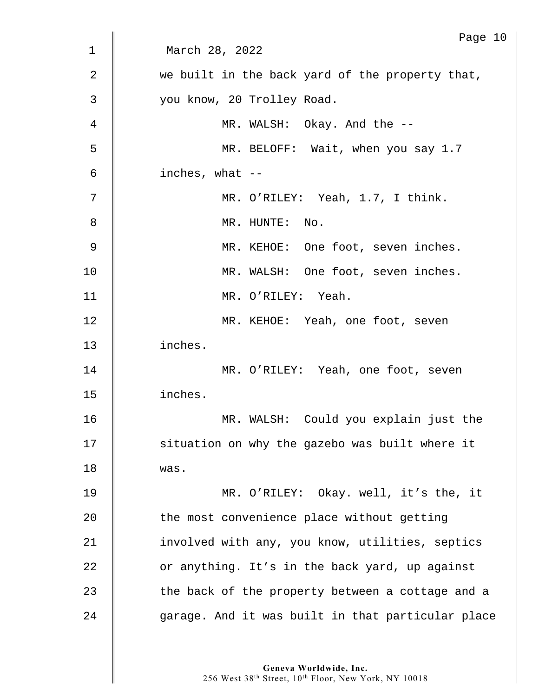| 1  | Page 10<br>March 28, 2022                         |
|----|---------------------------------------------------|
|    |                                                   |
| 2  | we built in the back yard of the property that,   |
| 3  | you know, 20 Trolley Road.                        |
| 4  | MR. WALSH: Okay. And the --                       |
| 5  | MR. BELOFF: Wait, when you say 1.7                |
| 6  | inches, what $--$                                 |
| 7  | MR. O'RILEY: Yeah, 1.7, I think.                  |
| 8  | MR. HUNTE: No.                                    |
| 9  | MR. KEHOE: One foot, seven inches.                |
| 10 | MR. WALSH: One foot, seven inches.                |
| 11 | MR. O'RILEY: Yeah.                                |
| 12 | MR. KEHOE: Yeah, one foot, seven                  |
| 13 | inches.                                           |
| 14 | MR. O'RILEY: Yeah, one foot, seven                |
| 15 | inches.                                           |
| 16 | WALSH: Could you explain just the<br>MR.          |
| 17 | situation on why the gazebo was built where it    |
| 18 | was.                                              |
| 19 | MR. O'RILEY: Okay. well, it's the, it             |
| 20 | the most convenience place without getting        |
| 21 | involved with any, you know, utilities, septics   |
| 22 | or anything. It's in the back yard, up against    |
| 23 | the back of the property between a cottage and a  |
| 24 | garage. And it was built in that particular place |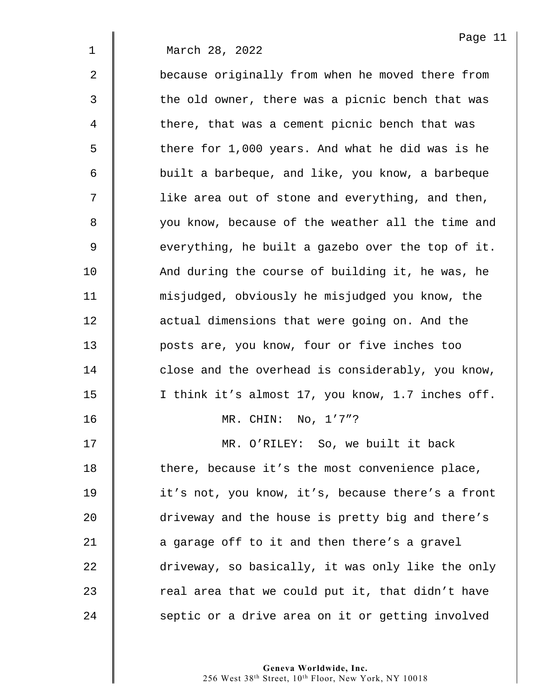|                | Page 11                                           |
|----------------|---------------------------------------------------|
| $\mathbf 1$    | March 28, 2022                                    |
| $\overline{2}$ | because originally from when he moved there from  |
| 3              | the old owner, there was a picnic bench that was  |
| 4              | there, that was a cement picnic bench that was    |
| 5              | there for 1,000 years. And what he did was is he  |
| 6              | built a barbeque, and like, you know, a barbeque  |
| 7              | like area out of stone and everything, and then,  |
| 8              | you know, because of the weather all the time and |
| 9              | everything, he built a gazebo over the top of it. |
| 10             | And during the course of building it, he was, he  |
| 11             | misjudged, obviously he misjudged you know, the   |
| 12             | actual dimensions that were going on. And the     |
| 13             | posts are, you know, four or five inches too      |
| 14             | close and the overhead is considerably, you know, |
| 15             | I think it's almost 17, you know, 1.7 inches off. |
| 16             | MR. CHIN:<br>No, 1'7"?                            |
| 17             | MR. O'RILEY: So, we built it back                 |
| 18             | there, because it's the most convenience place,   |
| 19             | it's not, you know, it's, because there's a front |
| 20             | driveway and the house is pretty big and there's  |
| 21             | a garage off to it and then there's a gravel      |
| 22             | driveway, so basically, it was only like the only |
| 23             | real area that we could put it, that didn't have  |
| 24             | septic or a drive area on it or getting involved  |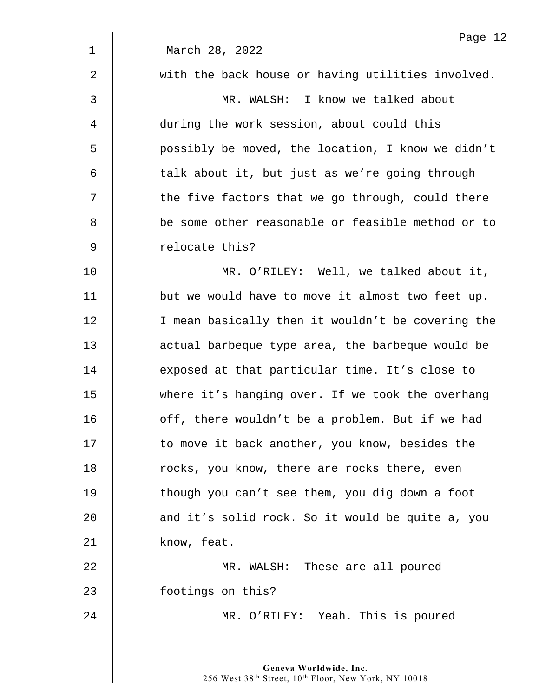|             | Page 12                                           |
|-------------|---------------------------------------------------|
| $\mathbf 1$ | March 28, 2022                                    |
| 2           | with the back house or having utilities involved. |
| 3           | MR. WALSH: I know we talked about                 |
| 4           | during the work session, about could this         |
| 5           | possibly be moved, the location, I know we didn't |
| 6           | talk about it, but just as we're going through    |
| 7           | the five factors that we go through, could there  |
| 8           | be some other reasonable or feasible method or to |
| 9           | relocate this?                                    |
| 10          | MR. O'RILEY: Well, we talked about it,            |
| 11          | but we would have to move it almost two feet up.  |
| 12          | I mean basically then it wouldn't be covering the |
| 13          | actual barbeque type area, the barbeque would be  |
| 14          | exposed at that particular time. It's close to    |
| 15          | where it's hanging over. If we took the overhang  |
| 16          | off, there wouldn't be a problem. But if we had   |
| 17          | to move it back another, you know, besides the    |
| 18          | rocks, you know, there are rocks there, even      |
| 19          | though you can't see them, you dig down a foot    |
| 20          | and it's solid rock. So it would be quite a, you  |
| 21          | know, feat.                                       |
| 22          | MR. WALSH: These are all poured                   |
| 23          | footings on this?                                 |
| 24          | MR. O'RILEY: Yeah. This is poured                 |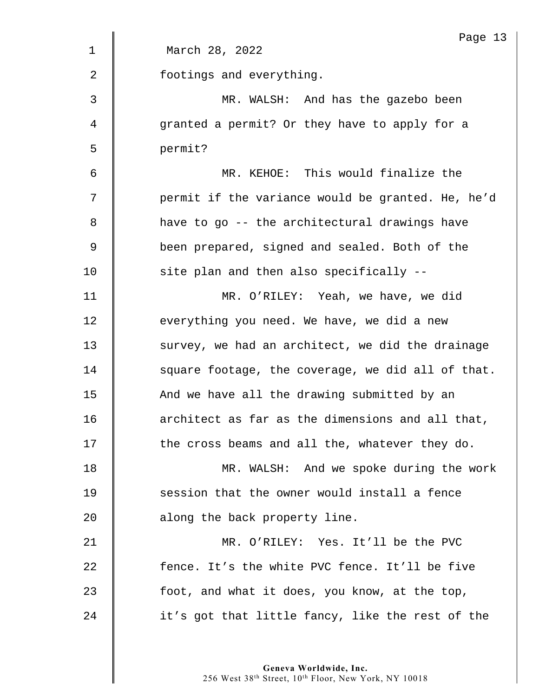|             | Page 13                                           |
|-------------|---------------------------------------------------|
| $\mathbf 1$ | March 28, 2022                                    |
| 2           | footings and everything.                          |
| 3           | MR. WALSH: And has the gazebo been                |
| 4           | granted a permit? Or they have to apply for a     |
| 5           | permit?                                           |
| 6           | MR. KEHOE: This would finalize the                |
| 7           | permit if the variance would be granted. He, he'd |
| 8           | have to go -- the architectural drawings have     |
| $\mathsf 9$ | been prepared, signed and sealed. Both of the     |
| 10          | site plan and then also specifically --           |
| 11          | MR. O'RILEY: Yeah, we have, we did                |
| 12          | everything you need. We have, we did a new        |
| 13          | survey, we had an architect, we did the drainage  |
| 14          | square footage, the coverage, we did all of that. |
| 15          | And we have all the drawing submitted by an       |
| 16          | architect as far as the dimensions and all that,  |
| 17          | the cross beams and all the, whatever they do.    |
| 18          | MR. WALSH: And we spoke during the work           |
| 19          | session that the owner would install a fence      |
| 20          | along the back property line.                     |
| 21          | MR. O'RILEY: Yes. It'll be the PVC                |
| 22          | fence. It's the white PVC fence. It'll be five    |
| 23          | foot, and what it does, you know, at the top,     |
| 24          | it's got that little fancy, like the rest of the  |
|             |                                                   |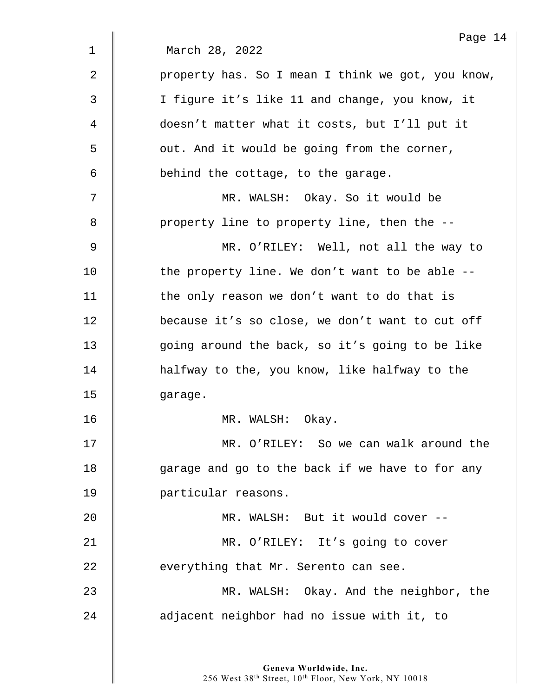|                | Page 14                                           |
|----------------|---------------------------------------------------|
| $\mathbf 1$    | March 28, 2022                                    |
| $\overline{2}$ | property has. So I mean I think we got, you know, |
| 3              | I figure it's like 11 and change, you know, it    |
| 4              | doesn't matter what it costs, but I'll put it     |
| 5              | out. And it would be going from the corner,       |
| 6              | behind the cottage, to the garage.                |
| 7              | MR. WALSH: Okay. So it would be                   |
| 8              | property line to property line, then the --       |
| 9              | MR. O'RILEY: Well, not all the way to             |
| 10             | the property line. We don't want to be able --    |
| 11             | the only reason we don't want to do that is       |
| 12             | because it's so close, we don't want to cut off   |
| 13             | going around the back, so it's going to be like   |
| 14             | halfway to the, you know, like halfway to the     |
| 15             | garage.                                           |
| 16             | MR. WALSH:<br>Okay.                               |
| 17             | MR. O'RILEY: So we can walk around the            |
| 18             | garage and go to the back if we have to for any   |
| 19             | particular reasons.                               |
| 20             | MR. WALSH: But it would cover --                  |
| 21             | MR. O'RILEY: It's going to cover                  |
| 22             | everything that Mr. Serento can see.              |
| 23             | MR. WALSH: Okay. And the neighbor, the            |
| 24             | adjacent neighbor had no issue with it, to        |
|                |                                                   |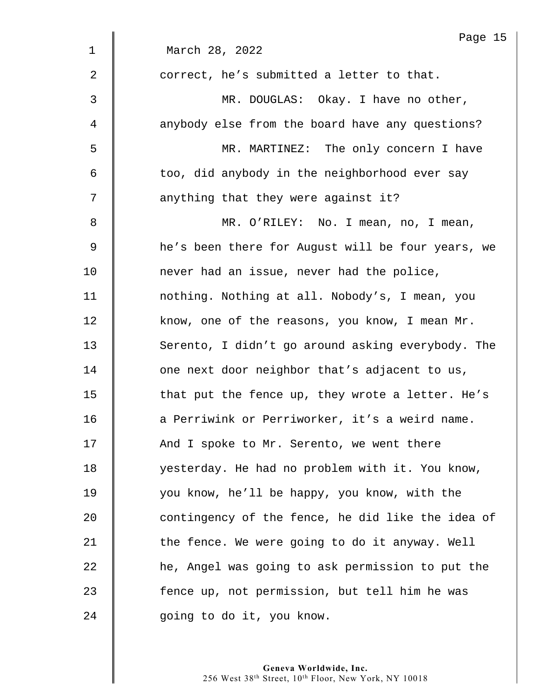|                | Page 15                                           |
|----------------|---------------------------------------------------|
| $\mathbf 1$    | March 28, 2022                                    |
| $\overline{2}$ | correct, he's submitted a letter to that.         |
| 3              | MR. DOUGLAS: Okay. I have no other,               |
| 4              | anybody else from the board have any questions?   |
| 5              | MR. MARTINEZ: The only concern I have             |
| 6              | too, did anybody in the neighborhood ever say     |
| 7              | anything that they were against it?               |
| 8              | MR. O'RILEY: No. I mean, no, I mean,              |
| 9              | he's been there for August will be four years, we |
| 10             | never had an issue, never had the police,         |
| 11             | nothing. Nothing at all. Nobody's, I mean, you    |
| 12             | know, one of the reasons, you know, I mean Mr.    |
| 13             | Serento, I didn't go around asking everybody. The |
| 14             | one next door neighbor that's adjacent to us,     |
| 15             | that put the fence up, they wrote a letter. He's  |
| 16             | a Perriwink or Perriworker, it's a weird name.    |
| 17             | And I spoke to Mr. Serento, we went there         |
| 18             | yesterday. He had no problem with it. You know,   |
| 19             | you know, he'll be happy, you know, with the      |
| 20             | contingency of the fence, he did like the idea of |
| 21             | the fence. We were going to do it anyway. Well    |
| 22             | he, Angel was going to ask permission to put the  |
| 23             | fence up, not permission, but tell him he was     |
| 24             | going to do it, you know.                         |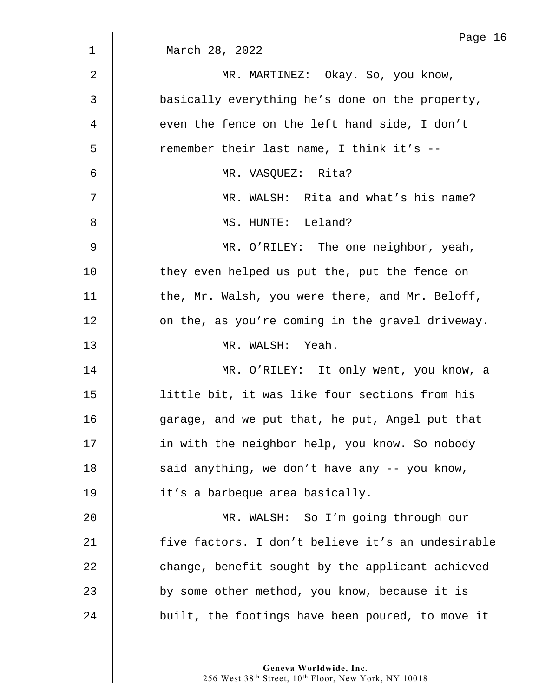|             | Page 16                                           |
|-------------|---------------------------------------------------|
| $\mathbf 1$ | March 28, 2022                                    |
| 2           | MR. MARTINEZ: Okay. So, you know,                 |
| 3           | basically everything he's done on the property,   |
| 4           | even the fence on the left hand side, I don't     |
| 5           | remember their last name, I think it's --         |
| 6           | MR. VASQUEZ: Rita?                                |
| 7           | MR. WALSH: Rita and what's his name?              |
| 8           | MS. HUNTE: Leland?                                |
| 9           | MR. O'RILEY: The one neighbor, yeah,              |
| 10          | they even helped us put the, put the fence on     |
| 11          | the, Mr. Walsh, you were there, and Mr. Beloff,   |
| 12          | on the, as you're coming in the gravel driveway.  |
| 13          | MR. WALSH: Yeah.                                  |
| 14          | MR. O'RILEY: It only went, you know, a            |
| 15          | little bit, it was like four sections from his    |
| 16          | garage, and we put that, he put, Angel put that   |
| 17          | in with the neighbor help, you know. So nobody    |
| 18          | said anything, we don't have any -- you know,     |
| 19          | it's a barbeque area basically.                   |
| 20          | MR. WALSH: So I'm going through our               |
| 21          | five factors. I don't believe it's an undesirable |
| 22          | change, benefit sought by the applicant achieved  |
| 23          | by some other method, you know, because it is     |
| 24          | built, the footings have been poured, to move it  |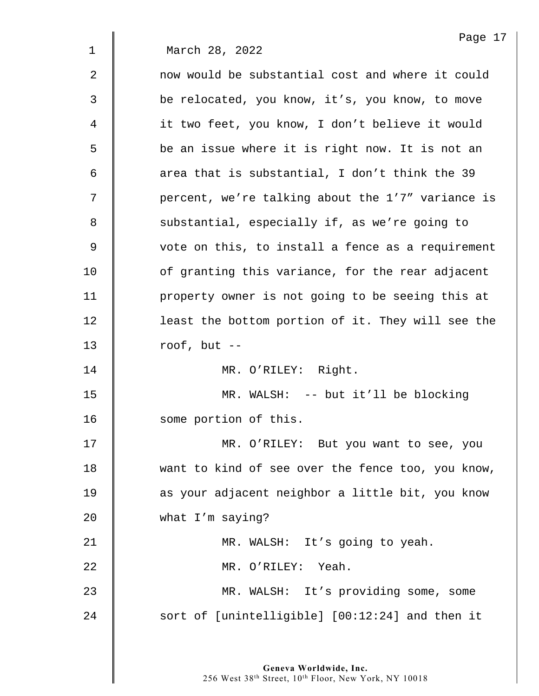| Page 17                                           |
|---------------------------------------------------|
| March 28, 2022                                    |
| now would be substantial cost and where it could  |
| be relocated, you know, it's, you know, to move   |
| it two feet, you know, I don't believe it would   |
| be an issue where it is right now. It is not an   |
| area that is substantial, I don't think the 39    |
| percent, we're talking about the 1'7" variance is |
| substantial, especially if, as we're going to     |
| vote on this, to install a fence as a requirement |
| of granting this variance, for the rear adjacent  |
| property owner is not going to be seeing this at  |
| least the bottom portion of it. They will see the |
| roof, but $--$                                    |
| MR. O'RILEY: Right.                               |
| MR. WALSH: -- but it'll be blocking               |
| some portion of this.                             |
| MR. O'RILEY: But you want to see, you             |
| want to kind of see over the fence too, you know, |
| as your adjacent neighbor a little bit, you know  |
| what I'm saying?                                  |
| MR. WALSH: It's going to yeah.                    |
| MR. O'RILEY: Yeah.                                |
| MR. WALSH: It's providing some, some              |
| sort of [unintelligible] [00:12:24] and then it   |
|                                                   |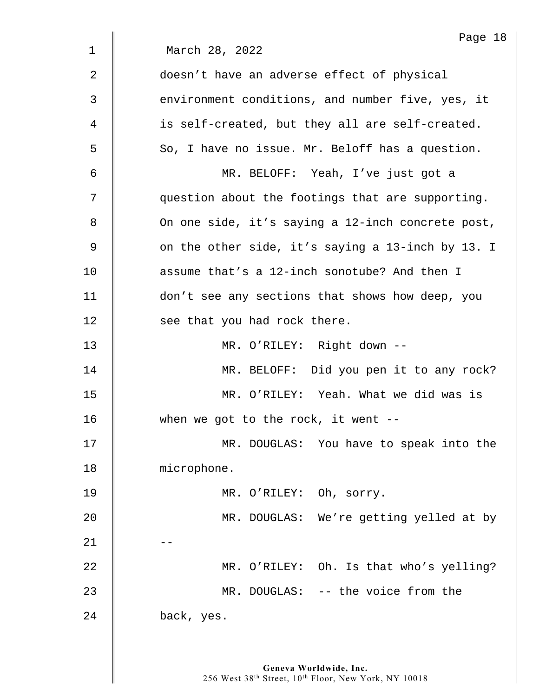|             | Page 18                                           |
|-------------|---------------------------------------------------|
| $\mathbf 1$ | March 28, 2022                                    |
| 2           | doesn't have an adverse effect of physical        |
| 3           | environment conditions, and number five, yes, it  |
| 4           | is self-created, but they all are self-created.   |
| 5           | So, I have no issue. Mr. Beloff has a question.   |
| 6           | MR. BELOFF: Yeah, I've just got a                 |
| 7           | question about the footings that are supporting.  |
| 8           | On one side, it's saying a 12-inch concrete post, |
| 9           | on the other side, it's saying a 13-inch by 13. I |
| 10          | assume that's a 12-inch sonotube? And then I      |
| 11          | don't see any sections that shows how deep, you   |
| 12          | see that you had rock there.                      |
| 13          | MR. O'RILEY: Right down --                        |
| 14          | MR. BELOFF: Did you pen it to any rock?           |
| 15          | MR. O'RILEY: Yeah. What we did was is             |
| 16          | when we got to the rock, it went $--$             |
| 17          | MR. DOUGLAS: You have to speak into the           |
| 18          | microphone.                                       |
| 19          | MR. O'RILEY: Oh, sorry.                           |
| 20          | MR. DOUGLAS: We're getting yelled at by           |
| 21          |                                                   |
| 22          | MR. O'RILEY: Oh. Is that who's yelling?           |
| 23          | MR. DOUGLAS: -- the voice from the                |
| 24          | back, yes.                                        |
|             |                                                   |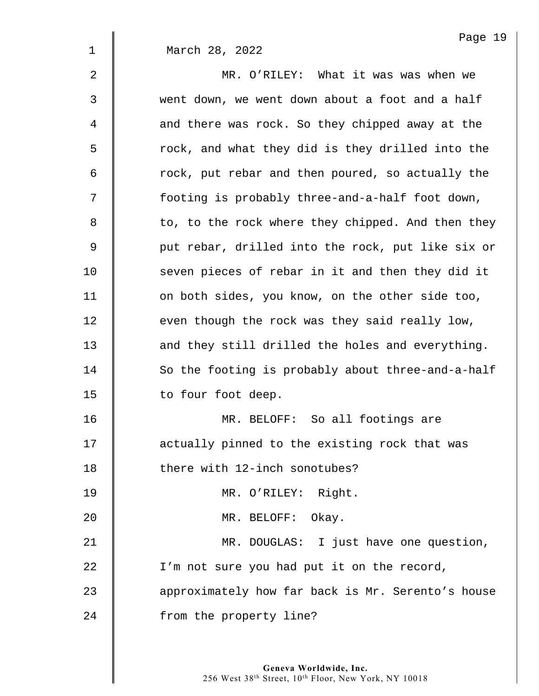|             | Page 19                                           |
|-------------|---------------------------------------------------|
| $\mathbf 1$ | March 28, 2022                                    |
| 2           | MR. O'RILEY: What it was was when we              |
| 3           | went down, we went down about a foot and a half   |
| 4           | and there was rock. So they chipped away at the   |
| 5           | rock, and what they did is they drilled into the  |
| 6           | rock, put rebar and then poured, so actually the  |
| 7           | footing is probably three-and-a-half foot down,   |
| 8           | to, to the rock where they chipped. And then they |
| 9           | put rebar, drilled into the rock, put like six or |
| 10          | seven pieces of rebar in it and then they did it  |
| 11          | on both sides, you know, on the other side too,   |
| 12          | even though the rock was they said really low,    |
| 13          | and they still drilled the holes and everything.  |
| 14          | So the footing is probably about three-and-a-half |
| 15          | to four foot deep.                                |
| 16          | MR. BELOFF: So all footings are                   |
| 17          | actually pinned to the existing rock that was     |
| 18          | there with 12-inch sonotubes?                     |
| 19          | MR. O'RILEY: Right.                               |
| 20          | MR. BELOFF: Okay.                                 |
| 21          | MR. DOUGLAS: I just have one question,            |
| 22          | I'm not sure you had put it on the record,        |
| 23          | approximately how far back is Mr. Serento's house |
| 24          | from the property line?                           |
|             |                                                   |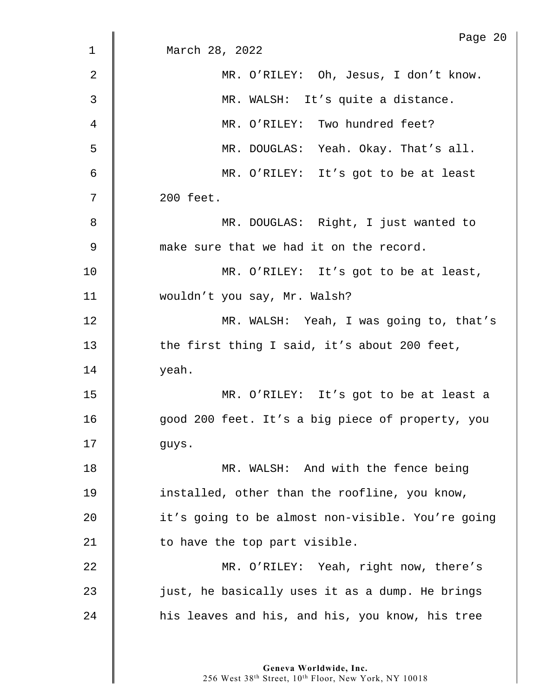| $\mathbf 1$ | Page 20<br>March 28, 2022                         |
|-------------|---------------------------------------------------|
|             |                                                   |
| 2           | MR. O'RILEY: Oh, Jesus, I don't know.             |
| 3           | MR. WALSH: It's quite a distance.                 |
| 4           | MR. O'RILEY: Two hundred feet?                    |
| 5           | MR. DOUGLAS: Yeah. Okay. That's all.              |
| 6           | MR. O'RILEY: It's got to be at least              |
| 7           | 200 feet.                                         |
| 8           | MR. DOUGLAS: Right, I just wanted to              |
| 9           | make sure that we had it on the record.           |
| 10          | MR. O'RILEY: It's got to be at least,             |
| 11          | wouldn't you say, Mr. Walsh?                      |
| 12          | MR. WALSH: Yeah, I was going to, that's           |
| 13          | the first thing I said, it's about 200 feet,      |
| 14          | yeah.                                             |
| 15          | MR. O'RILEY: It's got to be at least a            |
| 16          | good 200 feet. It's a big piece of property, you  |
| 17          | guys.                                             |
| 18          | MR. WALSH: And with the fence being               |
| 19          | installed, other than the roofline, you know,     |
| 20          | it's going to be almost non-visible. You're going |
| 21          | to have the top part visible.                     |
| 22          | MR. O'RILEY: Yeah, right now, there's             |
| 23          | just, he basically uses it as a dump. He brings   |
| 24          | his leaves and his, and his, you know, his tree   |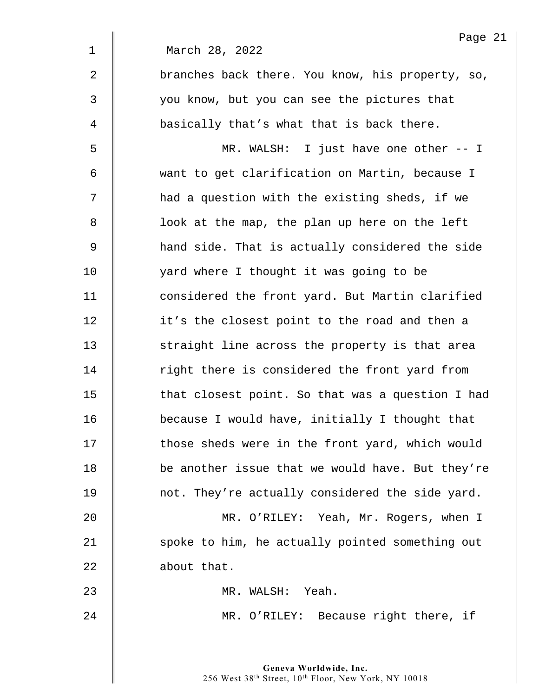Page 21 1 March 28, 2022 2 | branches back there. You know, his property, so, 3 you know, but you can see the pictures that 4 basically that's what that is back there. 5 MR. WALSH: I just have one other -- I 6 want to get clarification on Martin, because I 7 | had a question with the existing sheds, if we 8 | look at the map, the plan up here on the left 9 **A** hand side. That is actually considered the side 10 yard where I thought it was going to be 11 **deger** considered the front yard. But Martin clarified 12 | it's the closest point to the road and then a 13 Straight line across the property is that area 14 The right there is considered the front yard from 15 **that closest point. So that was a question I had** 16 because I would have, initially I thought that 17 | those sheds were in the front yard, which would 18 | be another issue that we would have. But they're 19 not. They're actually considered the side yard. 20 MR. O'RILEY: Yeah, Mr. Rogers, when I 21  $\parallel$  spoke to him, he actually pointed something out 22 **about that.** 23 MR. WALSH: Yeah. 24 **MR. O'RILEY:** Because right there, if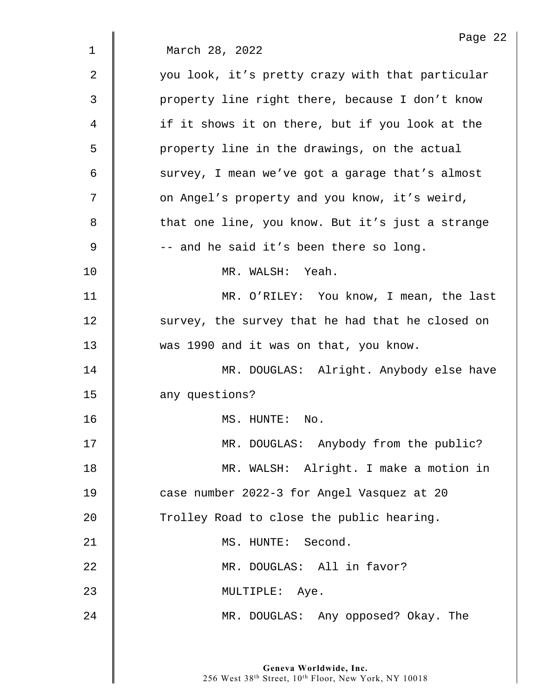|    | Page 22                                          |
|----|--------------------------------------------------|
| 1  | March 28, 2022                                   |
| 2  | you look, it's pretty crazy with that particular |
| 3  | property line right there, because I don't know  |
| 4  | if it shows it on there, but if you look at the  |
| 5  | property line in the drawings, on the actual     |
| 6  | survey, I mean we've got a garage that's almost  |
| 7  | on Angel's property and you know, it's weird,    |
| 8  | that one line, you know. But it's just a strange |
| 9  | -- and he said it's been there so long.          |
| 10 | MR. WALSH: Yeah.                                 |
| 11 | MR. O'RILEY: You know, I mean, the last          |
| 12 | survey, the survey that he had that he closed on |
| 13 | was 1990 and it was on that, you know.           |
| 14 | MR. DOUGLAS: Alright. Anybody else have          |
| 15 | any questions?                                   |
| 16 | MS. HUNTE:<br>No.                                |
| 17 | MR. DOUGLAS: Anybody from the public?            |
| 18 | MR. WALSH: Alright. I make a motion in           |
| 19 | case number 2022-3 for Angel Vasquez at 20       |
| 20 | Trolley Road to close the public hearing.        |
| 21 | MS. HUNTE: Second.                               |
| 22 | MR. DOUGLAS: All in favor?                       |
| 23 | MULTIPLE: Aye.                                   |
| 24 | MR. DOUGLAS: Any opposed? Okay. The              |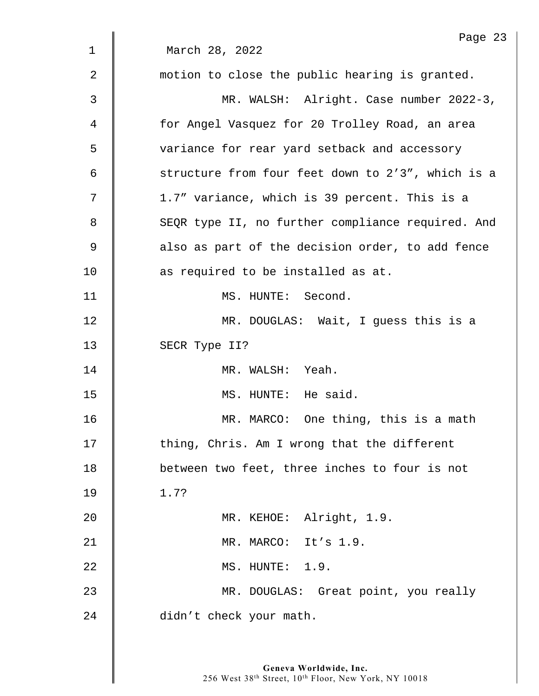|              | Page 23                                           |
|--------------|---------------------------------------------------|
| $\mathbf{1}$ | March 28, 2022                                    |
| 2            | motion to close the public hearing is granted.    |
| 3            | MR. WALSH: Alright. Case number 2022-3,           |
| 4            | for Angel Vasquez for 20 Trolley Road, an area    |
| 5            | variance for rear yard setback and accessory      |
| 6            | structure from four feet down to 2'3", which is a |
| 7            | 1.7" variance, which is 39 percent. This is a     |
| 8            | SEQR type II, no further compliance required. And |
| $\mathsf 9$  | also as part of the decision order, to add fence  |
| 10           | as required to be installed as at.                |
| 11           | MS. HUNTE: Second.                                |
| 12           | MR. DOUGLAS: Wait, I guess this is a              |
| 13           | SECR Type II?                                     |
| 14           | MR. WALSH: Yeah.                                  |
| 15           | MS. HUNTE: He said.                               |
| 16           | MR. MARCO: One thing, this is a math              |
| 17           | thing, Chris. Am I wrong that the different       |
| 18           | between two feet, three inches to four is not     |
| 19           | 1.7?                                              |
| 20           | MR. KEHOE: Alright, 1.9.                          |
| 21           | MR. MARCO: It's 1.9.                              |
| 22           | MS. HUNTE: 1.9.                                   |
| 23           | MR. DOUGLAS: Great point, you really              |
| 24           | didn't check your math.                           |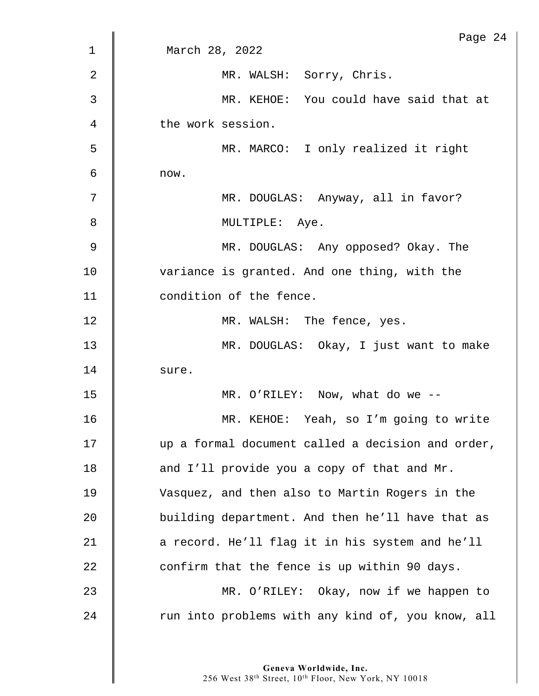| $\mathbf{1}$ | Page 24<br>March 28, 2022                         |
|--------------|---------------------------------------------------|
|              |                                                   |
| 2            | MR. WALSH: Sorry, Chris.                          |
| 3            | MR. KEHOE: You could have said that at            |
| 4            | the work session.                                 |
| 5            | MR. MARCO: I only realized it right               |
| 6            | now.                                              |
| 7            | MR. DOUGLAS: Anyway, all in favor?                |
| 8            | MULTIPLE: Aye.                                    |
| 9            | MR. DOUGLAS: Any opposed? Okay. The               |
| 10           | variance is granted. And one thing, with the      |
| 11           | condition of the fence.                           |
| 12           | MR. WALSH: The fence, yes.                        |
| 13           | MR. DOUGLAS: Okay, I just want to make            |
| 14           | sure.                                             |
| 15           | MR. O'RILEY: Now, what do we $-$ -                |
| 16           | MR. KEHOE: Yeah, so I'm going to write            |
| 17           | up a formal document called a decision and order, |
| 18           | and I'll provide you a copy of that and Mr.       |
| 19           | Vasquez, and then also to Martin Rogers in the    |
| 20           | building department. And then he'll have that as  |
| 21           | a record. He'll flag it in his system and he'll   |
| 22           | confirm that the fence is up within 90 days.      |
| 23           | MR. O'RILEY: Okay, now if we happen to            |
| 24           | run into problems with any kind of, you know, all |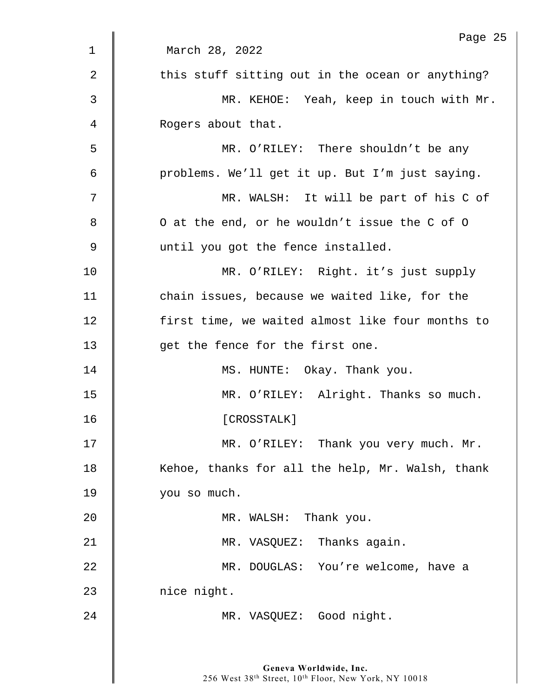|              | Page 25                                          |
|--------------|--------------------------------------------------|
| $\mathbf{1}$ | March 28, 2022                                   |
| 2            | this stuff sitting out in the ocean or anything? |
| 3            | MR. KEHOE: Yeah, keep in touch with Mr.          |
| 4            | Rogers about that.                               |
| 5            | MR. O'RILEY: There shouldn't be any              |
| 6            | problems. We'll get it up. But I'm just saying.  |
| 7            | MR. WALSH: It will be part of his C of           |
| 8            | O at the end, or he wouldn't issue the C of O    |
| 9            | until you got the fence installed.               |
| 10           | MR. O'RILEY: Right. it's just supply             |
| 11           | chain issues, because we waited like, for the    |
| 12           | first time, we waited almost like four months to |
| 13           | get the fence for the first one.                 |
| 14           | MS. HUNTE: Okay. Thank you.                      |
| 15           | MR. O'RILEY: Alright. Thanks so much.            |
| 16           | [CROSSTALK]                                      |
| 17           | MR. O'RILEY: Thank you very much. Mr.            |
| 18           | Kehoe, thanks for all the help, Mr. Walsh, thank |
| 19           | you so much.                                     |
| 20           | MR. WALSH: Thank you.                            |
| 21           | MR. VASQUEZ: Thanks again.                       |
| 22           | MR. DOUGLAS: You're welcome, have a              |
| 23           | nice night.                                      |
| 24           | MR. VASQUEZ: Good night.                         |
|              |                                                  |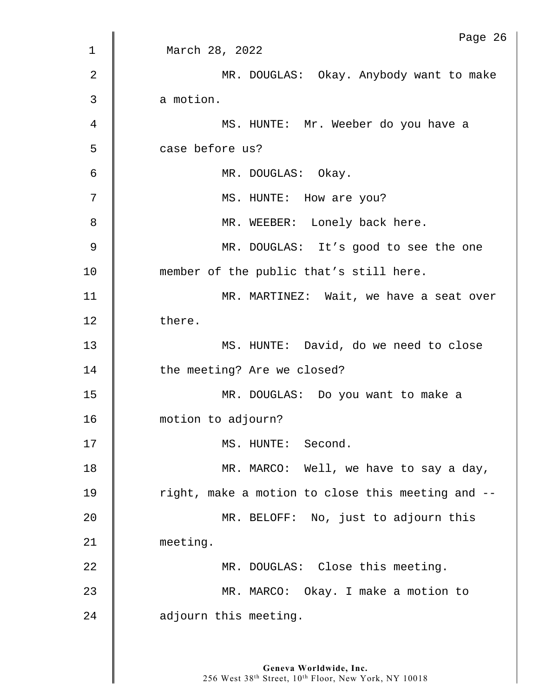|                | Page 26                                           |
|----------------|---------------------------------------------------|
| 1              | March 28, 2022                                    |
| 2              | MR. DOUGLAS: Okay. Anybody want to make           |
| 3              | a motion.                                         |
| $\overline{4}$ | MS. HUNTE: Mr. Weeber do you have a               |
| 5              | case before us?                                   |
| 6              | MR. DOUGLAS: Okay.                                |
| 7              | MS. HUNTE: How are you?                           |
| 8              | MR. WEEBER: Lonely back here.                     |
| 9              | MR. DOUGLAS: It's good to see the one             |
| 10             | member of the public that's still here.           |
| 11             | MR. MARTINEZ: Wait, we have a seat over           |
| 12             | there.                                            |
| 13             | MS. HUNTE: David, do we need to close             |
| 14             | the meeting? Are we closed?                       |
| 15             | MR. DOUGLAS: Do you want to make a                |
| 16             | motion to adjourn?                                |
| 17             | MS. HUNTE: Second.                                |
| 18             | MR. MARCO: Well, we have to say a day,            |
| 19             | right, make a motion to close this meeting and -- |
| 20             | MR. BELOFF: No, just to adjourn this              |
| 21             | meeting.                                          |
| 22             | MR. DOUGLAS: Close this meeting.                  |
| 23             | MR. MARCO: Okay. I make a motion to               |
| 24             | adjourn this meeting.                             |
|                |                                                   |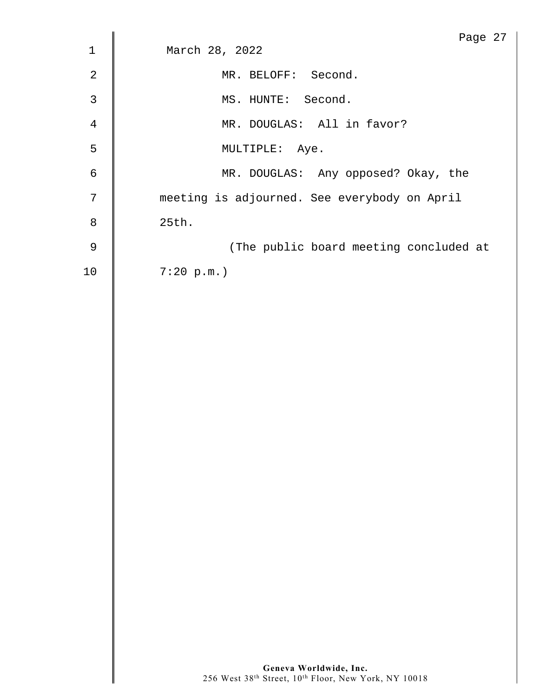|                | Page 27                                      |
|----------------|----------------------------------------------|
| $\mathbf{1}$   | March 28, 2022                               |
| 2              | MR. BELOFF: Second.                          |
| 3              | MS. HUNTE: Second.                           |
| $\overline{4}$ | MR. DOUGLAS: All in favor?                   |
| 5              | MULTIPLE: Aye.                               |
| 6              | MR. DOUGLAS: Any opposed? Okay, the          |
| 7              | meeting is adjourned. See everybody on April |
| 8              | 25th.                                        |
| 9              | (The public board meeting concluded at       |
| 10             | 7:20 p.m.                                    |
|                |                                              |